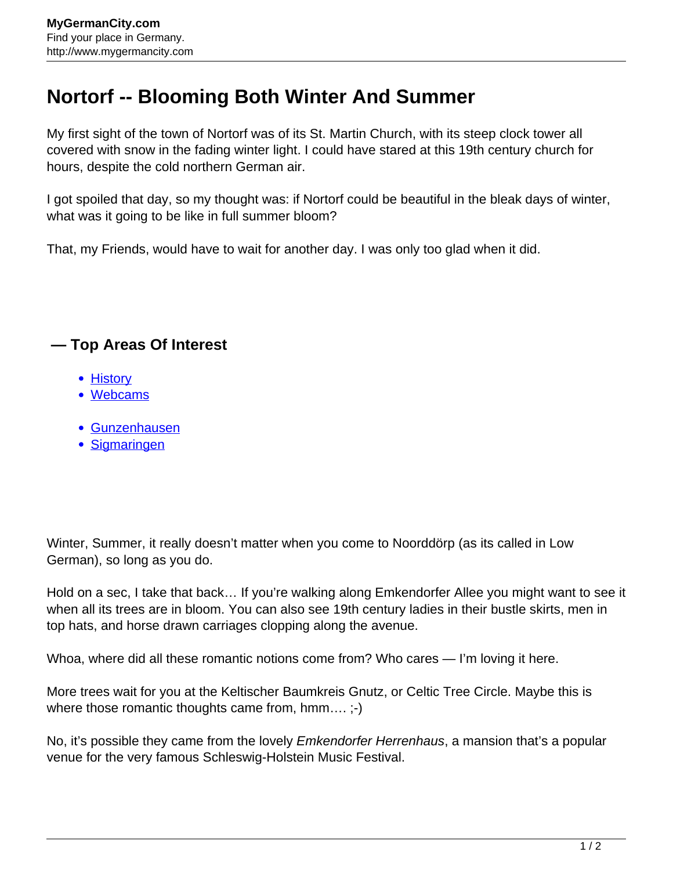## **Nortorf -- Blooming Both Winter And Summer**

My first sight of the town of Nortorf was of its St. Martin Church, with its steep clock tower all covered with snow in the fading winter light. I could have stared at this 19th century church for hours, despite the cold northern German air.

I got spoiled that day, so my thought was: if Nortorf could be beautiful in the bleak days of winter, what was it going to be like in full summer bloom?

That, my Friends, would have to wait for another day. I was only too glad when it did.

## **— Top Areas Of Interest**

- **[History](http://www.mygermancity.com/leipzig-history)**
- [Webcams](http://www.mygermancity.com/neustadt-holstein-webcams)
- [Gunzenhausen](http://www.mygermancity.com/gunzenhausen)
- [Sigmaringen](http://www.mygermancity.com/sigmaringen)

Winter, Summer, it really doesn't matter when you come to Noorddörp (as its called in Low German), so long as you do.

Hold on a sec, I take that back… If you're walking along Emkendorfer Allee you might want to see it when all its trees are in bloom. You can also see 19th century ladies in their bustle skirts, men in top hats, and horse drawn carriages clopping along the avenue.

Whoa, where did all these romantic notions come from? Who cares — I'm loving it here.

More trees wait for you at the Keltischer Baumkreis Gnutz, or Celtic Tree Circle. Maybe this is where those romantic thoughts came from, hmm....;-)

No, it's possible they came from the lovely *Emkendorfer Herrenhaus*, a mansion that's a popular venue for the very famous Schleswig-Holstein Music Festival.